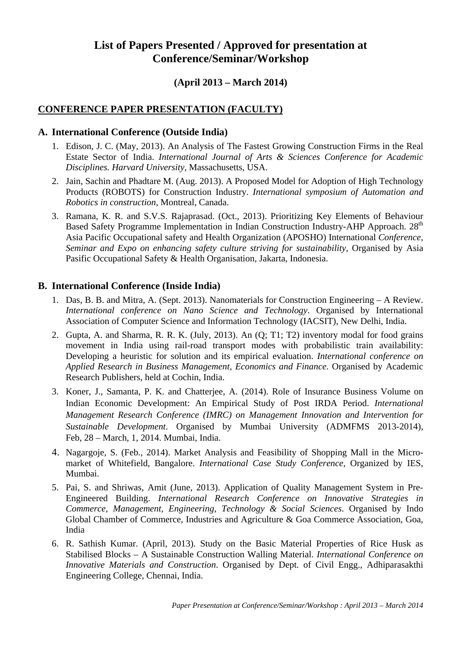# **List of Papers Presented / Approved for presentation at Conference/Seminar/Workshop**

### **(April 2013 – March 2014)**

## **CONFERENCE PAPER PRESENTATION (FACULTY)**

#### **A. International Conference (Outside India)**

- 1. Edison, J. C. (May, 2013). An Analysis of The Fastest Growing Construction Firms in the Real Estate Sector of India. *International Journal of Arts & Sciences Conference for Academic Disciplines. Harvard University*, Massachusetts, USA.
- 2. Jain, Sachin and Phadtare M. (Aug. 2013). A Proposed Model for Adoption of High Technology Products (ROBOTS) for Construction Industry. *International symposium of Automation and Robotics in construction*, Montreal, Canada.
- 3. Ramana, K. R. and S.V.S. Rajaprasad. (Oct., 2013). Prioritizing Key Elements of Behaviour Based Safety Programme Implementation in Indian Construction Industry-AHP Approach. 28<sup>th</sup> Asia Pacific Occupational safety and Health Organization (APOSHO) International *Conference, Seminar and Expo on enhancing safety culture striving for sustainability*, Organised by Asia Pasific Occupational Safety & Health Organisation, Jakarta, Indonesia.

#### **B. International Conference (Inside India)**

- 1. Das, B. B. and Mitra, A. (Sept. 2013). Nanomaterials for Construction Engineering A Review. *International conference on Nano Science and Technology*. Organised by International Association of Computer Science and Information Technology (IACSIT), New Delhi, India.
- 2. Gupta, A. and Sharma, R. R. K. (July, 2013). An (Q; T1; T2) inventory modal for food grains movement in India using rail-road transport modes with probabilistic train availability: Developing a heuristic for solution and its empirical evaluation. *International conference on Applied Research in Business Management, Economics and Finance*. Organised by Academic Research Publishers, held at Cochin, India.
- 3. Koner, J., Samanta, P. K. and Chatterjee, A. (2014). Role of Insurance Business Volume on Indian Economic Development: An Empirical Study of Post IRDA Period. *International Management Research Conference (IMRC) on Management Innovation and Intervention for Sustainable Development*. Organised by Mumbai University (ADMFMS 2013-2014), Feb, 28 – March, 1, 2014. Mumbai, India.
- 4. Nagargoje, S. (Feb., 2014). Market Analysis and Feasibility of Shopping Mall in the Micromarket of Whitefield, Bangalore. *International Case Study Conference*, Organized by IES, Mumbai.
- 5. Pai, S. and Shriwas, Amit (June, 2013). Application of Quality Management System in Pre-Engineered Building. *International Research Conference on Innovative Strategies in Commerce, Management, Engineering, Technology & Social Sciences*. Organised by Indo Global Chamber of Commerce, Industries and Agriculture & Goa Commerce Association, Goa, India
- 6. R. Sathish Kumar. (April, 2013). Study on the Basic Material Properties of Rice Husk as Stabilised Blocks – A Sustainable Construction Walling Material. *International Conference on Innovative Materials and Construction*. Organised by Dept. of Civil Engg., Adhiparasakthi Engineering College, Chennai, India.